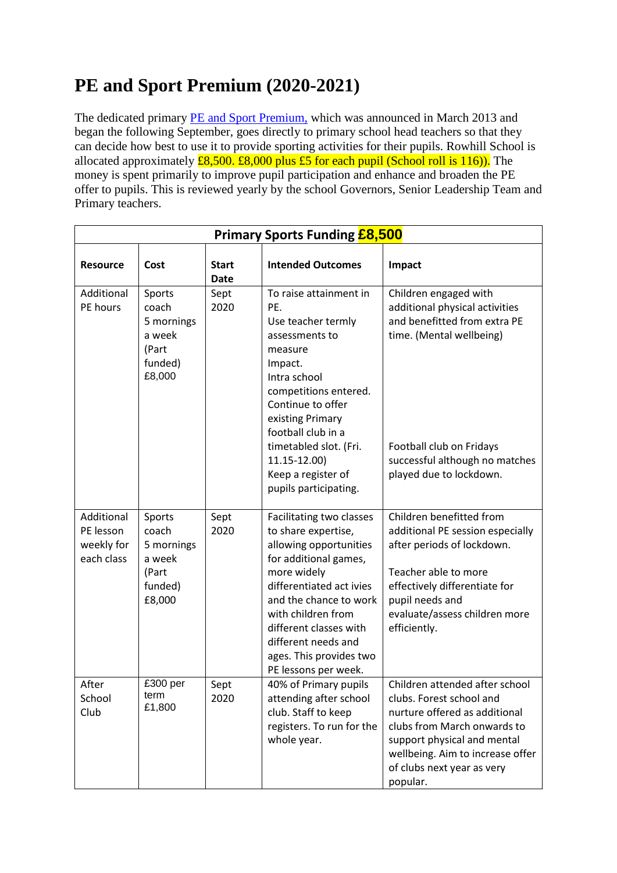## **PE and Sport Premium (2020-2021)**

The dedicated primary [PE and Sport Premium,](http://www.education.gov.uk/schools/adminandfinance/financialmanagement/b00222858/primary-school-sport-funding) which was announced in March 2013 and began the following September, goes directly to primary school head teachers so that they can decide how best to use it to provide sporting activities for their pupils. Rowhill School is allocated approximately  $\frac{28,500}{6}$   $\frac{28,000}{6}$  plus £5 for each pupil (School roll is 116)). The money is spent primarily to improve pupil participation and enhance and broaden the PE offer to pupils. This is reviewed yearly by the school Governors, Senior Leadership Team and Primary teachers.

| <b>Primary Sports Funding £8,500</b>                |                                                                       |                             |                                                                                                                                                                                                                                                                                                   |                                                                                                                                                                                                                                         |  |
|-----------------------------------------------------|-----------------------------------------------------------------------|-----------------------------|---------------------------------------------------------------------------------------------------------------------------------------------------------------------------------------------------------------------------------------------------------------------------------------------------|-----------------------------------------------------------------------------------------------------------------------------------------------------------------------------------------------------------------------------------------|--|
| <b>Resource</b>                                     | Cost                                                                  | <b>Start</b><br><b>Date</b> | <b>Intended Outcomes</b>                                                                                                                                                                                                                                                                          | Impact                                                                                                                                                                                                                                  |  |
| Additional<br>PE hours                              | Sports<br>coach<br>5 mornings<br>a week<br>(Part<br>funded)<br>£8,000 | Sept<br>2020                | To raise attainment in<br>PE.<br>Use teacher termly<br>assessments to<br>measure<br>Impact.<br>Intra school<br>competitions entered.<br>Continue to offer<br>existing Primary<br>football club in a<br>timetabled slot. (Fri.<br>11.15-12.00)<br>Keep a register of<br>pupils participating.      | Children engaged with<br>additional physical activities<br>and benefitted from extra PE<br>time. (Mental wellbeing)<br>Football club on Fridays<br>successful although no matches<br>played due to lockdown.                            |  |
| Additional<br>PE lesson<br>weekly for<br>each class | Sports<br>coach<br>5 mornings<br>a week<br>(Part<br>funded)<br>£8,000 | Sept<br>2020                | Facilitating two classes<br>to share expertise,<br>allowing opportunities<br>for additional games,<br>more widely<br>differentiated act ivies<br>and the chance to work<br>with children from<br>different classes with<br>different needs and<br>ages. This provides two<br>PE lessons per week. | Children benefitted from<br>additional PE session especially<br>after periods of lockdown.<br>Teacher able to more<br>effectively differentiate for<br>pupil needs and<br>evaluate/assess children more<br>efficiently.                 |  |
| After<br>School<br>Club                             | £300 per<br>term<br>£1,800                                            | Sept<br>2020                | 40% of Primary pupils<br>attending after school<br>club. Staff to keep<br>registers. To run for the<br>whole year.                                                                                                                                                                                | Children attended after school<br>clubs. Forest school and<br>nurture offered as additional<br>clubs from March onwards to<br>support physical and mental<br>wellbeing. Aim to increase offer<br>of clubs next year as very<br>popular. |  |